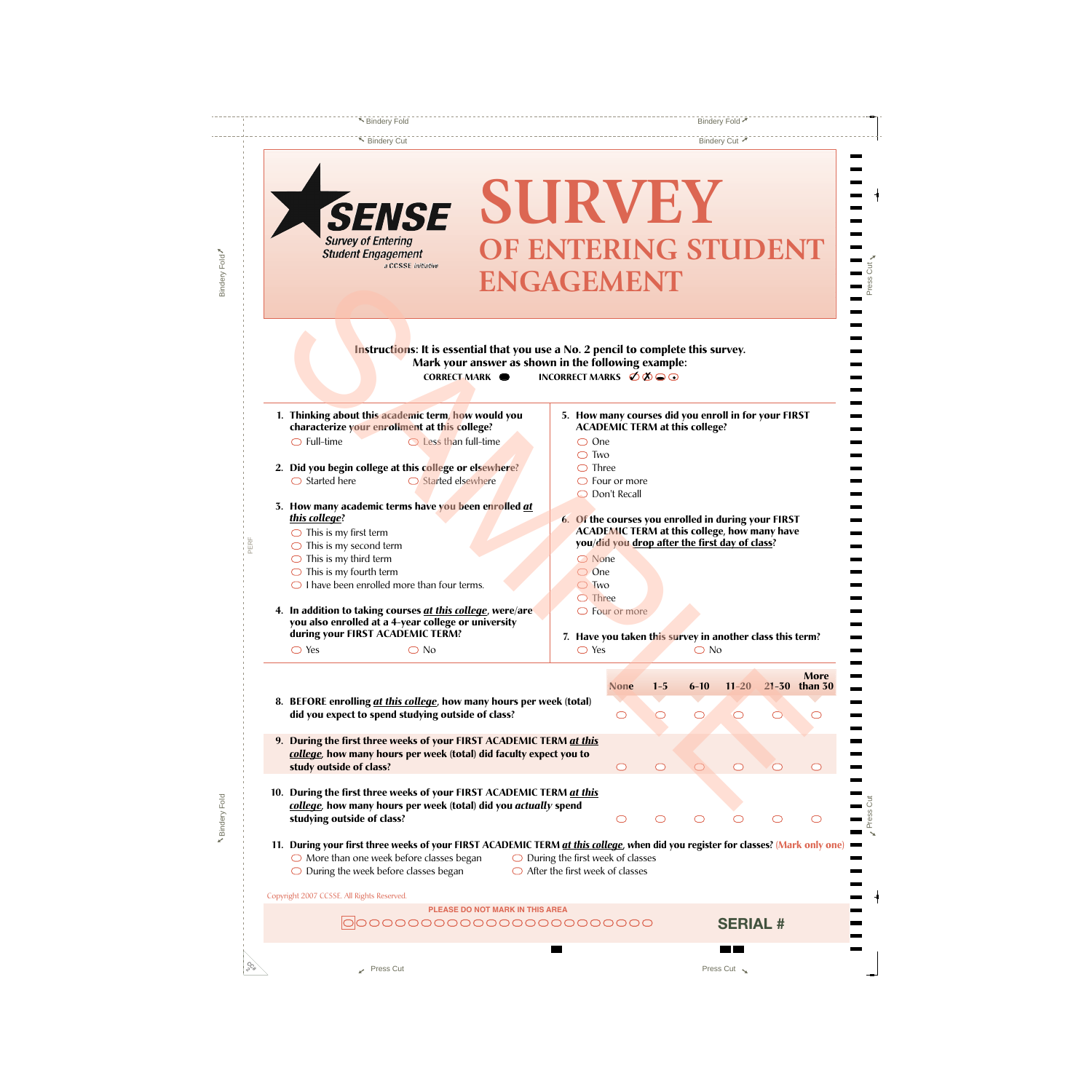▼ Bindery Cut 7

 $Press Cut<sub>Y</sub>$ 

.  $\blacksquare$ ä 9  $\blacksquare$ 

> > $\blacksquare$

a, 3

> ä, ۳ ä

> Ĩ.

ä, . ä, ä,  $\blacksquare$ .  $\overline{\phantom{a}}$ 

 $\overline{\phantom{a}}$ 

**N**<br> **Press Cut** 

 $\frac{1}{1}$  $\overline{a}$ 

۰,

| SURVEY<br><b>X SENSE</b>                                                                                                                  |                                                      |                                                                                                            |         |               |           |               |             |
|-------------------------------------------------------------------------------------------------------------------------------------------|------------------------------------------------------|------------------------------------------------------------------------------------------------------------|---------|---------------|-----------|---------------|-------------|
| <b>Survey of Entering</b><br>OF ENTERING STUDENT                                                                                          |                                                      |                                                                                                            |         |               |           |               |             |
| <b>Student Engagement</b><br>a CCSSE initiative                                                                                           |                                                      |                                                                                                            |         |               |           |               |             |
| <b>ENGAGEMENT</b>                                                                                                                         |                                                      |                                                                                                            |         |               |           |               |             |
|                                                                                                                                           |                                                      |                                                                                                            |         |               |           |               |             |
|                                                                                                                                           |                                                      |                                                                                                            |         |               |           |               |             |
|                                                                                                                                           |                                                      |                                                                                                            |         |               |           |               |             |
| Instructions: It is essential that you use a No. 2 pencil to complete this survey.                                                        |                                                      |                                                                                                            |         |               |           |               |             |
| Mark your answer as shown in the following example:                                                                                       |                                                      |                                                                                                            |         |               |           |               |             |
| CORRECT MARK $\bullet$                                                                                                                    | INCORRECT MARKS $\emptyset\emptyset\bigcirc\bigcirc$ |                                                                                                            |         |               |           |               |             |
|                                                                                                                                           |                                                      |                                                                                                            |         |               |           |               |             |
| 1. Thinking about this academic term, how would you                                                                                       |                                                      | 5. How many courses did you enroll in for your FIRST                                                       |         |               |           |               |             |
| characterize your enrollment at this college?                                                                                             |                                                      | <b>ACADEMIC TERM at this college?</b>                                                                      |         |               |           |               |             |
| $\bigcirc$ Full-time<br>$\bigcirc$ Less than full-time                                                                                    | $\bigcirc$ One                                       |                                                                                                            |         |               |           |               |             |
|                                                                                                                                           | $\bigcirc$ Two                                       |                                                                                                            |         |               |           |               |             |
| 2. Did you begin college at this college or elsewhere?                                                                                    | $\bigcirc$ Three                                     |                                                                                                            |         |               |           |               |             |
| $\bigcirc$ Started here<br>$\bigcirc$ Started elsewhere                                                                                   |                                                      | $\bigcirc$ Four or more                                                                                    |         |               |           |               |             |
|                                                                                                                                           |                                                      | O Don't Recall                                                                                             |         |               |           |               |             |
| 3. How many academic terms have you been enrolled at                                                                                      |                                                      |                                                                                                            |         |               |           |               |             |
| this college?                                                                                                                             |                                                      | 6. Of the courses you enrolled in during your FIRST<br><b>ACADEMIC TERM at this college, how many have</b> |         |               |           |               |             |
| $\bigcirc$ This is my first term                                                                                                          |                                                      | you/did you drop after the first day of class?                                                             |         |               |           |               |             |
| $\bigcirc$ This is my second term                                                                                                         | ◯ None                                               |                                                                                                            |         |               |           |               |             |
| $\bigcirc$ This is my third term<br>$\bigcirc$ This is my fourth term                                                                     | $\bigcirc$ One                                       |                                                                                                            |         |               |           |               |             |
| $\bigcirc$ I have been enrolled more than four terms.                                                                                     | $\bigcirc$ Two                                       |                                                                                                            |         |               |           |               |             |
|                                                                                                                                           | $\bigcirc$ Three                                     |                                                                                                            |         |               |           |               |             |
| 4. In addition to taking courses at this college, were/are                                                                                |                                                      | $\bigcirc$ Four or more                                                                                    |         |               |           |               |             |
| you also enrolled at a 4-year college or university                                                                                       |                                                      |                                                                                                            |         |               |           |               |             |
| during your FIRST ACADEMIC TERM?                                                                                                          |                                                      | 7. Have you taken this survey in another class this term?                                                  |         |               |           |               |             |
| $\bigcirc$ No<br>$\bigcirc$ Yes                                                                                                           | $\bigcirc$ Yes                                       |                                                                                                            |         | $\bigcirc$ No |           |               |             |
|                                                                                                                                           |                                                      |                                                                                                            |         |               |           |               |             |
|                                                                                                                                           |                                                      | None                                                                                                       | $1 - 5$ | $6 - 10$      | $11 - 20$ | 21-30 than 30 | <b>More</b> |
| 8. BEFORE enrolling at this college, how many hours per week (total)                                                                      |                                                      |                                                                                                            |         |               |           |               |             |
| did you expect to spend studying outside of class?                                                                                        |                                                      | C                                                                                                          |         | ◯             |           |               |             |
|                                                                                                                                           |                                                      |                                                                                                            |         |               |           |               |             |
| 9. During the first three weeks of your FIRST ACADEMIC TERM at this<br>college, how many hours per week (total) did faculty expect you to |                                                      |                                                                                                            |         |               |           |               |             |
| study outside of class?                                                                                                                   |                                                      | O                                                                                                          | $\cup$  | ◯             |           |               |             |
|                                                                                                                                           |                                                      |                                                                                                            |         |               |           |               |             |
| 10. During the first three weeks of your FIRST ACADEMIC TERM at this                                                                      |                                                      |                                                                                                            |         |               |           |               |             |
| college, how many hours per week (total) did you actually spend                                                                           |                                                      |                                                                                                            |         |               |           |               |             |
| studying outside of class?                                                                                                                |                                                      | O                                                                                                          |         |               |           |               | ◯           |
|                                                                                                                                           |                                                      |                                                                                                            |         |               |           |               |             |
| 11. During your first three weeks of your FIRST ACADEMIC TERM at this college, when did you register for classes? (Mark only one)         |                                                      |                                                                                                            |         |               |           |               |             |
| $\bigcirc$ More than one week before classes began                                                                                        | $\bigcirc$ During the first week of classes          |                                                                                                            |         |               |           |               |             |
|                                                                                                                                           |                                                      |                                                                                                            |         |               |           |               |             |
| $\bigcirc$ During the week before classes began<br>$\bigcirc$ After the first week of classes                                             |                                                      |                                                                                                            |         |               |           |               |             |
| Copyright 2007 CCSSE. All Rights Reserved.                                                                                                |                                                      |                                                                                                            |         |               |           |               |             |

▼ Bindery Fold <del>▼</del>

**CC# 2**

**N** Bindery Fold

R Bindery Fold

Bindery Fold

Bindery Fold

Press Cut  $\sim$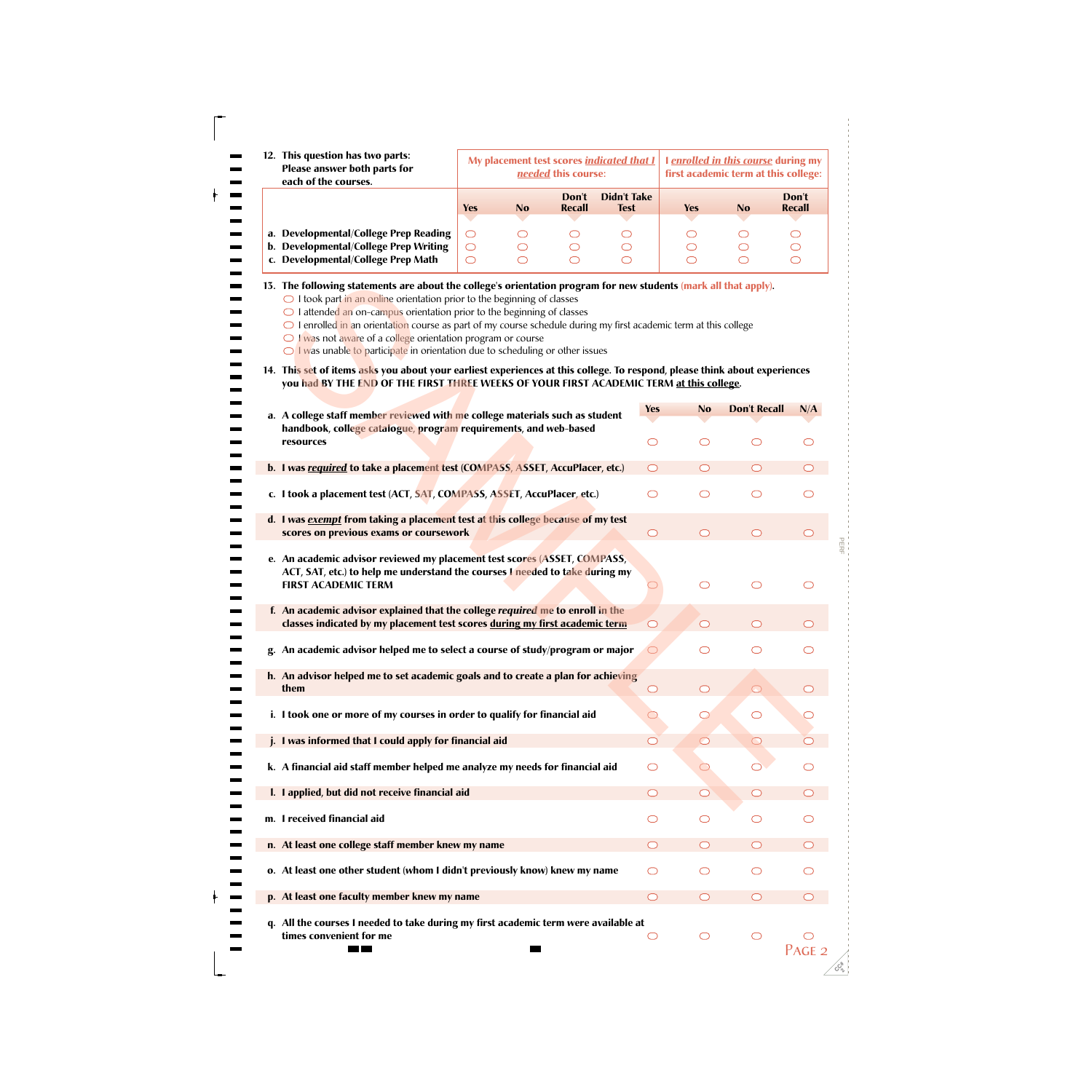|  | 12. This question has two parts:<br>Please answer both parts for<br>each of the courses.                                                                                                                                                                                                                                                                                                                                                                                                                                                                                                                                                                                                                                  |                               |                            | needed this course:        | My placement test scores indicated that I | I enrolled in this course during my<br>first academic term at this college: |                                               |                            |
|--|---------------------------------------------------------------------------------------------------------------------------------------------------------------------------------------------------------------------------------------------------------------------------------------------------------------------------------------------------------------------------------------------------------------------------------------------------------------------------------------------------------------------------------------------------------------------------------------------------------------------------------------------------------------------------------------------------------------------------|-------------------------------|----------------------------|----------------------------|-------------------------------------------|-----------------------------------------------------------------------------|-----------------------------------------------|----------------------------|
|  |                                                                                                                                                                                                                                                                                                                                                                                                                                                                                                                                                                                                                                                                                                                           | <b>Yes</b>                    | N <sub>o</sub>             | Don't<br><b>Recall</b>     | <b>Didn't Take</b><br><b>Test</b>         | <b>Yes</b>                                                                  | <b>No</b>                                     | Don't<br><b>Recall</b>     |
|  | a. Developmental/College Prep Reading<br>b. Developmental/College Prep Writing<br>c. Developmental/College Prep Math                                                                                                                                                                                                                                                                                                                                                                                                                                                                                                                                                                                                      | O<br>$\bigcirc$<br>$\bigcirc$ | O<br>$\bigcirc$<br>$\circ$ | O<br>$\bigcirc$<br>$\circ$ | O<br>$\bigcirc$<br>$\bigcirc$             | O<br>$\bigcirc$<br>$\circ$                                                  | O<br>$\bigcirc$<br>$\bigcirc$                 | O<br>$\bigcirc$<br>$\circ$ |
|  | 13. The following statements are about the college's orientation program for new students (mark all that apply).<br>$\bigcirc$ I took part in an online orientation prior to the beginning of classes<br>$\bigcirc$ I attended an on-campus orientation prior to the beginning of classes<br>$\bigcirc$ I enrolled in an orientation course as part of my course schedule during my first academic term at this college<br>$\bigcirc$ I was not aware of a college orientation program or course<br>$\bigcirc$ I was unable to participate in orientation due to scheduling or other issues<br>14. This set of items asks you about your earliest experiences at this college. To respond, please think about experiences |                               |                            |                            |                                           |                                                                             |                                               |                            |
|  | you had BY THE END OF THE FIRST THREE WEEKS OF YOUR FIRST ACADEMIC TERM at this college.                                                                                                                                                                                                                                                                                                                                                                                                                                                                                                                                                                                                                                  |                               |                            |                            |                                           |                                                                             |                                               |                            |
|  | a. A college staff member reviewed with me college materials such as student                                                                                                                                                                                                                                                                                                                                                                                                                                                                                                                                                                                                                                              |                               |                            |                            | <b>Yes</b>                                | <b>No</b>                                                                   | <b>Don't Recall</b>                           | N/A                        |
|  | handbook, college catalogue, program requirements, and web-based<br>resources                                                                                                                                                                                                                                                                                                                                                                                                                                                                                                                                                                                                                                             |                               |                            |                            | $\circlearrowright$                       | O                                                                           | $\bigcirc$                                    | ◯                          |
|  | b. I was required to take a placement test (COMPASS, ASSET, AccuPlacer, etc.)                                                                                                                                                                                                                                                                                                                                                                                                                                                                                                                                                                                                                                             |                               |                            |                            | ◯                                         | $\bigcirc$                                                                  | $\bigcirc$                                    |                            |
|  | c. I took a placement test (ACT, SAT, COMPASS, ASSET, AccuPlacer, etc.)                                                                                                                                                                                                                                                                                                                                                                                                                                                                                                                                                                                                                                                   |                               |                            |                            | ◯                                         | $\bigcirc$                                                                  | $\bigcirc$                                    | ◯                          |
|  | d. I was exempt from taking a placement test at this college because of my test<br>scores on previous exams or coursework                                                                                                                                                                                                                                                                                                                                                                                                                                                                                                                                                                                                 |                               |                            |                            | $\circlearrowright$                       | $\circ$                                                                     | $\bigcirc$                                    | ◯                          |
|  | e. An academic advisor reviewed my placement test scores (ASSET, COMPASS,<br>ACT, SAT, etc.) to help me understand the courses I needed to take during my<br><b>FIRST ACADEMIC TERM</b>                                                                                                                                                                                                                                                                                                                                                                                                                                                                                                                                   |                               |                            |                            |                                           | ◯                                                                           | ◯                                             | ◯                          |
|  | f. An academic advisor explained that the college required me to enroll in the<br>classes indicated by my placement test scores during my first academic term                                                                                                                                                                                                                                                                                                                                                                                                                                                                                                                                                             |                               |                            |                            | $\bigcap$                                 | $\bigcap$                                                                   | $\left( \begin{array}{c} \end{array} \right)$ |                            |
|  | g. An academic advisor helped me to select a course of study/program or major                                                                                                                                                                                                                                                                                                                                                                                                                                                                                                                                                                                                                                             |                               |                            |                            |                                           | $\bigcirc$                                                                  | ⌒                                             | ◯                          |
|  | h. An advisor helped me to set academic goals and to create a plan for achieving<br>them                                                                                                                                                                                                                                                                                                                                                                                                                                                                                                                                                                                                                                  |                               |                            |                            | $\circlearrowright$                       | $\circlearrowright$                                                         | $\circlearrowright$                           | $\circlearrowright$        |
|  | i. I took one or more of my courses in order to qualify for financial aid                                                                                                                                                                                                                                                                                                                                                                                                                                                                                                                                                                                                                                                 |                               |                            |                            | ◯                                         | $\circlearrowright$                                                         | $\circlearrowright$                           |                            |
|  | j. I was informed that I could apply for financial aid                                                                                                                                                                                                                                                                                                                                                                                                                                                                                                                                                                                                                                                                    |                               |                            |                            |                                           | $\circlearrowright$                                                         | $\circ$                                       |                            |
|  | k. A financial aid staff member helped me analyze my needs for financial aid                                                                                                                                                                                                                                                                                                                                                                                                                                                                                                                                                                                                                                              |                               |                            |                            | $\circlearrowright$                       | O                                                                           |                                               |                            |
|  | I. I applied, but did not receive financial aid                                                                                                                                                                                                                                                                                                                                                                                                                                                                                                                                                                                                                                                                           |                               |                            |                            | $\circlearrowright$                       | $\circ$                                                                     | $\circlearrowright$                           |                            |
|  | m. I received financial aid                                                                                                                                                                                                                                                                                                                                                                                                                                                                                                                                                                                                                                                                                               |                               |                            |                            | $\circlearrowright$                       | O                                                                           | O                                             |                            |
|  | n. At least one college staff member knew my name                                                                                                                                                                                                                                                                                                                                                                                                                                                                                                                                                                                                                                                                         |                               |                            |                            | ◯                                         |                                                                             | $\circlearrowright$                           |                            |
|  | o. At least one other student (whom I didn't previously know) knew my name                                                                                                                                                                                                                                                                                                                                                                                                                                                                                                                                                                                                                                                |                               |                            |                            | $\circlearrowright$                       | O                                                                           | $\circlearrowright$                           |                            |
|  | p. At least one faculty member knew my name                                                                                                                                                                                                                                                                                                                                                                                                                                                                                                                                                                                                                                                                               |                               |                            |                            | $\circlearrowright$                       | $\circlearrowright$                                                         | $\circlearrowright$                           |                            |
|  | q. All the courses I needed to take during my first academic term were available at<br>times convenient for me<br><b>The Co</b>                                                                                                                                                                                                                                                                                                                                                                                                                                                                                                                                                                                           |                               | <b>START</b>               |                            | $\circlearrowright$                       | $\bigcirc$                                                                  | $\bigcirc$                                    | PACF                       |

| 13. The following statements are about the college's orientation program for new students (mark all that apply).<br>$\bigcirc$ I took part in an online orientation prior to the beginning of classes<br>$\bigcirc$ I attended an on-campus orientation prior to the beginning of classes<br>$\bigcirc$ I enrolled in an orientation course as part of my course schedule during my first academic term at this college<br>$\bigcirc$ I was not aware of a college orientation program or course<br>$\bigcirc$ I was unable to participate in orientation due to scheduling or other issues |                     |                     |                     |                     |
|---------------------------------------------------------------------------------------------------------------------------------------------------------------------------------------------------------------------------------------------------------------------------------------------------------------------------------------------------------------------------------------------------------------------------------------------------------------------------------------------------------------------------------------------------------------------------------------------|---------------------|---------------------|---------------------|---------------------|
| 14. This set of items asks you about your earliest experiences at this college. To respond, please think about experiences<br>you had BY THE END OF THE FIRST THREE WEEKS OF YOUR FIRST ACADEMIC TERM at this college.                                                                                                                                                                                                                                                                                                                                                                      |                     |                     |                     |                     |
| a. A college staff member reviewed with me college materials such as student                                                                                                                                                                                                                                                                                                                                                                                                                                                                                                                | <b>Yes</b>          | <b>No</b>           | <b>Don't Recall</b> | N/A                 |
| handbook, college catalogue, program requirements, and web-based<br>resources                                                                                                                                                                                                                                                                                                                                                                                                                                                                                                               | O                   | O                   | ◯                   |                     |
| b. I was required to take a placement test (COMPASS, ASSET, AccuPlacer, etc.)                                                                                                                                                                                                                                                                                                                                                                                                                                                                                                               | O                   | ◯                   | $\bigcirc$          |                     |
| c. I took a placement test (ACT, SAT, COMPASS, ASSET, AccuPlacer, etc.)                                                                                                                                                                                                                                                                                                                                                                                                                                                                                                                     | O                   | ◯                   | ◯                   |                     |
| d. I was exempt from taking a placement test at this college because of my test<br>scores on previous exams or coursework                                                                                                                                                                                                                                                                                                                                                                                                                                                                   | $\circ$             | $\bigcirc$          | $\bigcirc$          | ◯                   |
| e. An academic advisor reviewed my placement test scores (ASSET, COMPASS,<br>ACT, SAT, etc.) to help me understand the courses I needed to take during my<br><b>FIRST ACADEMIC TERM</b>                                                                                                                                                                                                                                                                                                                                                                                                     |                     | $\bigcirc$          | $\circ$             | ◯                   |
| f. An academic advisor explained that the college required me to enroll in the<br>classes indicated by my placement test scores during my first academic term                                                                                                                                                                                                                                                                                                                                                                                                                               | $\bigcirc$          | $\bigcirc$          | ◯                   |                     |
| An academic advisor helped me to select a course of study/program or major<br>g.                                                                                                                                                                                                                                                                                                                                                                                                                                                                                                            |                     | ◯                   | ◯                   |                     |
| h. An advisor helped me to set academic goals and to create a plan for achieving<br>them                                                                                                                                                                                                                                                                                                                                                                                                                                                                                                    | $\bigcirc$          | $\bigcirc$          | $\bigcirc$          | $\circlearrowright$ |
| i. I took one or more of my courses in order to qualify for financial aid                                                                                                                                                                                                                                                                                                                                                                                                                                                                                                                   | ◯                   | $\circlearrowright$ | $\circlearrowright$ |                     |
| I was informed that I could apply for financial aid                                                                                                                                                                                                                                                                                                                                                                                                                                                                                                                                         | ◯                   | $\circlearrowright$ | $\circ$             |                     |
| k. A financial aid staff member helped me analyze my needs for financial aid                                                                                                                                                                                                                                                                                                                                                                                                                                                                                                                | O                   | $\bigcirc$          |                     | $\circ$             |
| I. I applied, but did not receive financial aid                                                                                                                                                                                                                                                                                                                                                                                                                                                                                                                                             | $\bigcirc$          | $\bigcirc$          | $\circ$             |                     |
| m. I received financial aid                                                                                                                                                                                                                                                                                                                                                                                                                                                                                                                                                                 | O                   | O                   | $\circlearrowright$ |                     |
| n. At least one college staff member knew my name                                                                                                                                                                                                                                                                                                                                                                                                                                                                                                                                           | $\bigcirc$          | $\circ$             | $\circ$             | ◯                   |
| o. At least one other student (whom I didn't previously know) knew my name                                                                                                                                                                                                                                                                                                                                                                                                                                                                                                                  | O                   | O                   | $\circlearrowright$ |                     |
| p. At least one faculty member knew my name                                                                                                                                                                                                                                                                                                                                                                                                                                                                                                                                                 | $\bigcirc$          | $\circ$             | $\circ$             | $\circlearrowright$ |
| q. All the courses I needed to take during my first academic term were available at<br>times convenient for me                                                                                                                                                                                                                                                                                                                                                                                                                                                                              | $\circlearrowright$ | $\bigcirc$          | $\circ$             | PAGE <sub>2</sub>   |

PERF<br>PERF

**CC# 2**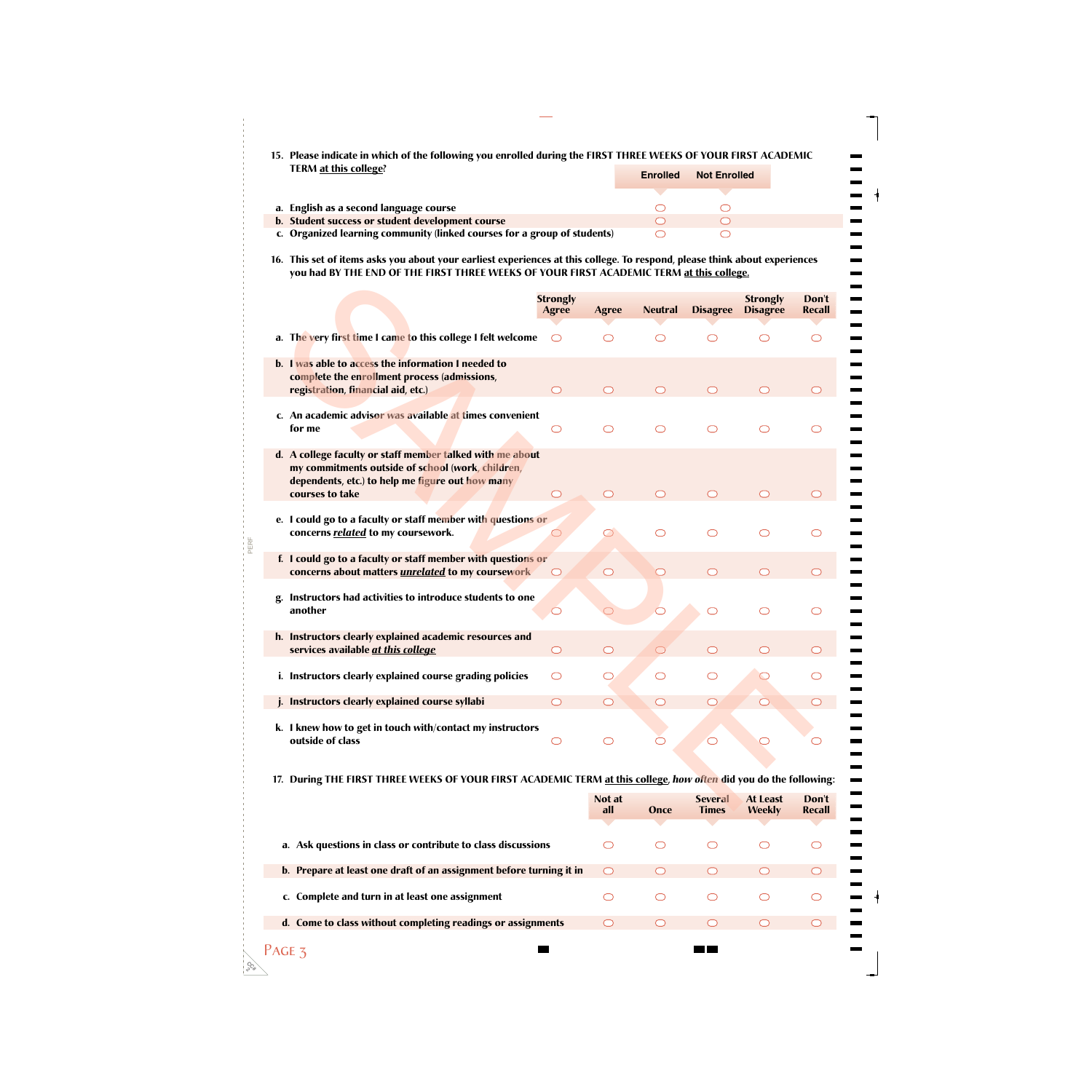| 15. Please indicate in which of the following you enrolled during the FIRST THREE WEEKS OF YOUR FIRST ACADEMIC |                       |  |
|----------------------------------------------------------------------------------------------------------------|-----------------------|--|
| TERM at this college?                                                                                          | Enrolled Not Enrolled |  |

|                                                                          | <b>Enrolled</b> | <b>Not Enrolled</b> |
|--------------------------------------------------------------------------|-----------------|---------------------|
|                                                                          |                 |                     |
| a. English as a second language course                                   |                 |                     |
| b. Student success or student development course                         |                 |                     |
| c. Organized learning community (linked courses for a group of students) |                 |                     |

**16. This set of items asks you about your earliest experiences at this college. To respond, please think about experiences you had BY THE END OF THE FIRST THREE WEEKS OF YOUR FIRST ACADEMIC TERM at this college.**

 $\frac{1}{2}$ 

 $\blacksquare$  $\blacksquare$ ۰

÷,

-

 $\blacksquare$ 

Ξ,

-

-— --

 $\equiv$ 

 $\frac{1}{1}$ 

| THE LIVE OF THE LIBJT THREE WEEKS OF TOUR LIBJT ACADEMIC TERM OF GIB COICEC.                                                                                                          |                                 |                     |                       |                         |                                    |                        |
|---------------------------------------------------------------------------------------------------------------------------------------------------------------------------------------|---------------------------------|---------------------|-----------------------|-------------------------|------------------------------------|------------------------|
|                                                                                                                                                                                       | <b>Strongly</b><br><b>Agree</b> | <b>Agree</b>        | <b>Neutral</b>        | <b>Disagree</b>         | <b>Strongly</b><br><b>Disagree</b> | Don't<br>Recall        |
| a. The very first time I came to this college I felt welcome                                                                                                                          | ◯                               | $\bigcirc$          | $\bigcirc$            | $\bigcirc$              | $\bigcirc$                         | $\bigcirc$             |
| b. I was able to access the information I needed to<br>complete the enrollment process (admissions,<br>registration, financial aid, etc.)                                             | $\bigcirc$                      | $\bigcirc$          | $\bigcirc$            | ◯                       | $\bigcirc$                         | $\bigcirc$             |
| c. An academic advisor was available at times convenient<br>for me                                                                                                                    | ◯                               | $\bigcirc$          | $\bigcirc$            | $\bigcirc$              | $\bigcirc$                         | ◯                      |
| d. A college faculty or staff member talked with me about<br>my commitments outside of school (work, children,<br>dependents, etc.) to help me figure out how many<br>courses to take | $\bigcirc$                      | $\bigcirc$          | $\bigcirc$            | $\bigcirc$              | $\bigcirc$                         | $\bigcirc$             |
| e. I could go to a faculty or staff member with questions or<br>concerns related to my coursework.                                                                                    |                                 | $\circlearrowright$ | $\bigcirc$            | ◯                       | ◯                                  | ⌒                      |
| f. I could go to a faculty or staff member with questions or<br>concerns about matters <i>unrelated</i> to my coursework                                                              | $\circlearrowright$             | $\circ$             | $\circlearrowright$   | $\bigcirc$              | $\bigcirc$                         | $\circlearrowright$    |
| Instructors had activities to introduce students to one<br>another                                                                                                                    |                                 |                     | $\overline{\bigcirc}$ | $\circlearrowright$     | $\bigcirc$                         | ⌒                      |
| h. Instructors clearly explained academic resources and<br>services available at this college                                                                                         | $\bigcirc$                      | $\circ$             | $\bigcirc$            | $\bigcirc$              | $\bigcirc$                         | $\bigcirc$             |
| i. Instructors clearly explained course grading policies                                                                                                                              | $\circlearrowright$             | $\circlearrowright$ | $\bigcirc$            | $\bigcirc$              |                                    | ◯                      |
| j. Instructors clearly explained course syllabi                                                                                                                                       | $\bigcirc$                      | $\bigcirc$          | ◯                     | $\bigcirc$              | $\bigcirc$                         | ◯                      |
| k. I knew how to get in touch with/contact my instructors<br>outside of class                                                                                                         | $\circlearrowright$             | $\bigcirc$          |                       | $\bigcirc$              |                                    |                        |
| 17. During THE FIRST THREE WEEKS OF YOUR FIRST ACADEMIC TERM at this college, how often did you do the following:                                                                     |                                 |                     |                       |                         |                                    |                        |
|                                                                                                                                                                                       |                                 | Not at<br>all.      | <b>Onro</b>           | <b>Several</b><br>Timos | At Least<br>$M$ aakly              | Don't<br><b>Recall</b> |

## **17. During THE FIRST THREE WEEKS OF YOUR FIRST ACADEMIC TERM at this college,** *how often* **did you do the following:**

|                                                                     | Not at<br>all | Once | <b>Several</b><br><b>Times</b> | At Least<br><b>Weekly</b> | Don't<br>Recall |
|---------------------------------------------------------------------|---------------|------|--------------------------------|---------------------------|-----------------|
|                                                                     |               |      |                                |                           |                 |
| a. Ask questions in class or contribute to class discussions        |               |      |                                |                           |                 |
| b. Prepare at least one draft of an assignment before turning it in |               |      |                                |                           |                 |
| c. Complete and turn in at least one assignment                     |               |      |                                |                           |                 |
| d. Come to class without completing readings or assignments         |               |      |                                |                           |                 |
|                                                                     |               |      |                                |                           |                 |

**CC# 2**

PAGE 3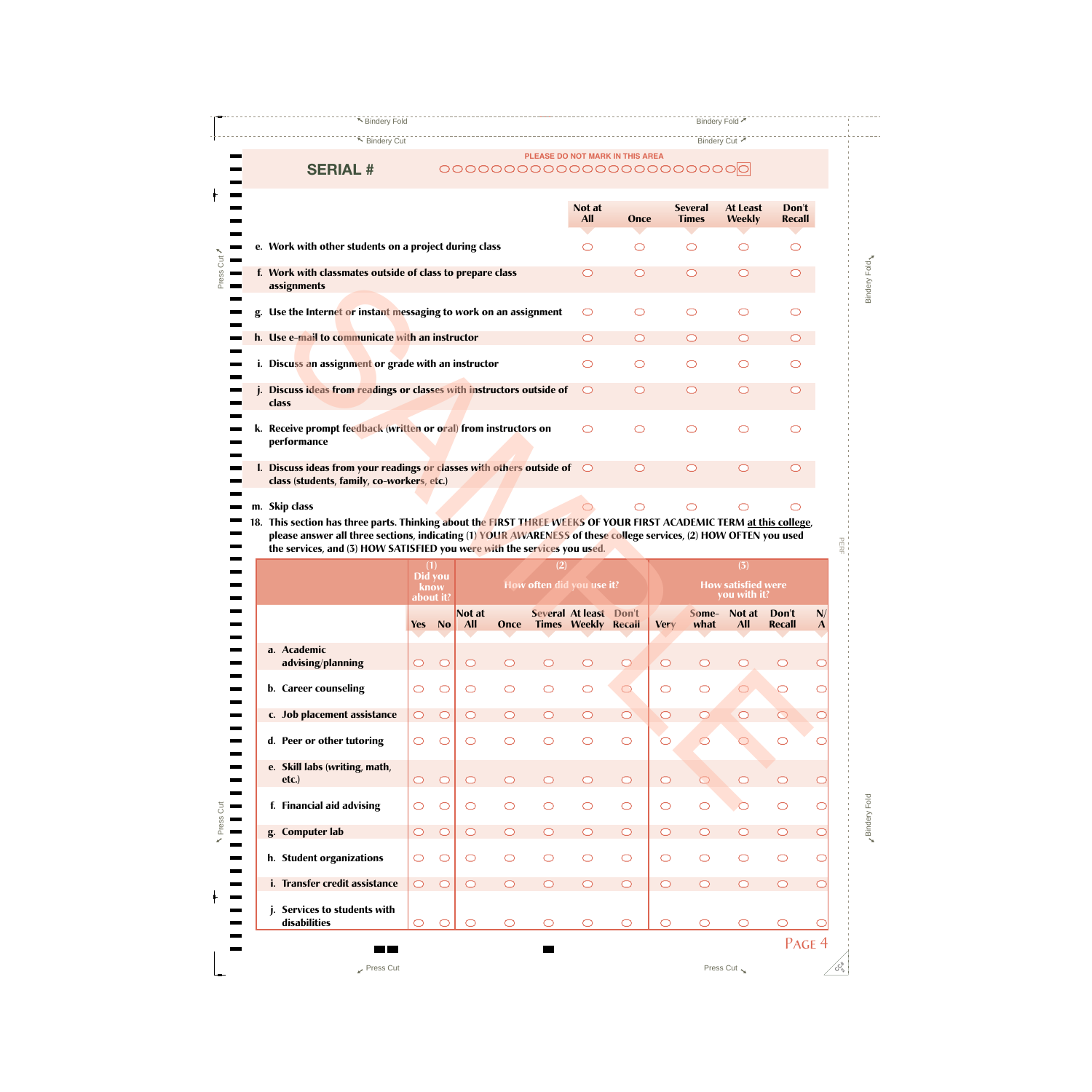▼ Bindery Fold Bindery Fold Bindery Fold 7

▼ Bindery Cut 7

# **SERIAL #**

 $\blacksquare$ 

➚Press Cut

N Press Cut

 $\frac{1}{1}$ 

### **PLEASE DO NOT MARK IN THIS AREA**

|       |    |                                                                                                                     | Not at<br><b>All</b> | Once       | <b>Several</b><br><b>Times</b> | At Least<br><b>Weekly</b> | Don't<br><b>Recall</b> |
|-------|----|---------------------------------------------------------------------------------------------------------------------|----------------------|------------|--------------------------------|---------------------------|------------------------|
| Cut   |    | e. Work with other students on a project during class                                                               | ◯                    | ⊂          | $\overline{\phantom{0}}$       |                           |                        |
| Press |    | f. Work with classmates outside of class to prepare class<br>assignments                                            | $\bigcirc$           | $\bigcap$  | ◯                              |                           |                        |
|       |    | g. Use the Internet or instant messaging to work on an assignment                                                   | ◯                    | ◯          | ⌒                              |                           |                        |
|       |    | h. Use e-mail to communicate with an instructor                                                                     | $\bigcap$            | $\bigcirc$ | $\bigcirc$                     |                           |                        |
|       |    | i. Discuss an assignment or grade with an instructor                                                                | ◯                    | $\bigcirc$ | ◯                              |                           |                        |
|       |    | Discuss ideas from readings or classes with instructors outside of<br>class                                         |                      | $\subset$  | $\subset$                      |                           |                        |
|       | k. | Receive prompt feedback (written or oral) from instructors on<br>performance                                        | ⌒                    | $\subset$  |                                |                           |                        |
|       |    | I. Discuss ideas from your readings or classes with others outside of<br>class (students, family, co-workers, etc.) | $\bigcirc$           | ◯          |                                |                           |                        |
|       |    | m. Skip class                                                                                                       |                      |            |                                |                           |                        |

| i'n mai classifiates batslac of class to prepare class<br>assignments                                                      |                                     |            |            |            |                     |                            |                     |                     |                     |                                                  |            |              |
|----------------------------------------------------------------------------------------------------------------------------|-------------------------------------|------------|------------|------------|---------------------|----------------------------|---------------------|---------------------|---------------------|--------------------------------------------------|------------|--------------|
| g. Use the Interne <mark>t or</mark> instant messaging to work on an assignment                                            |                                     |            |            |            |                     | O                          | $\bigcirc$          |                     | ◯                   | $\circlearrowright$                              | $\bigcirc$ |              |
| h. Use e-mail to communicate with an instructor                                                                            |                                     |            |            |            |                     | $\bigcirc$                 | $\bigcirc$          |                     | $\bigcirc$          | $\bigcirc$                                       | $\bigcirc$ |              |
| i. Discuss an assignment or grade with an instructor                                                                       |                                     |            |            |            |                     | O                          | $\circlearrowright$ |                     | ◯                   | ◯                                                | ◯          |              |
| j. Discuss ideas from readings or classes with instructors outside of<br>class                                             |                                     |            |            |            |                     | $\bigcirc$                 | $\circ$             |                     | $\bigcirc$          | $\circ$                                          | $\bigcirc$ |              |
| k.  Receive prompt fee <mark>dback (written</mark> or o <mark>ral)</mark> from instructors on<br>performance               |                                     |            |            |            |                     | O                          | $\circ$             |                     | ◯                   | $\bigcirc$                                       | ◯          |              |
| I. Discuss ideas from your readings or classes with others outside of<br>class (students, family, co-workers, etc.)        |                                     |            |            |            |                     | $\bigcirc$                 | $\bigcirc$          |                     | $\bigcirc$          | $\bigcirc$                                       | $\bigcirc$ |              |
| n. Skip class                                                                                                              |                                     |            |            |            |                     |                            | $\bigcirc$          |                     | ◯                   | ◯                                                | ◯          |              |
| 8. This section has three parts. Thinking about the FIRST THREE WEEKS OF YOUR FIRST ACADEMIC TERM <u>at this college</u> , |                                     |            |            |            |                     |                            |                     |                     |                     |                                                  |            |              |
| please answer all three sections, indicating (1) YOUR AWARENESS of these college services, (2) HOW OFTEN you used          |                                     |            |            |            |                     |                            |                     |                     |                     |                                                  |            |              |
| the services, and (3) HOW SATISFIED you were with the services you used.                                                   |                                     |            |            |            |                     |                            |                     |                     |                     |                                                  |            |              |
|                                                                                                                            | (1)<br>Did you<br>know<br>about it? |            |            |            | (2)                 | How often did you use it?  |                     |                     |                     | (3)<br><b>How satisfied were</b><br>you with it? |            |              |
|                                                                                                                            |                                     |            |            |            |                     |                            |                     |                     |                     |                                                  | Don't      |              |
|                                                                                                                            |                                     |            | Not at     |            |                     | Several At least Don't     |                     |                     | Some-               | Not at                                           |            | N/           |
|                                                                                                                            | Yes                                 | <b>No</b>  | <b>All</b> | Once       |                     | <b>Times Weekly Recall</b> |                     | <b>Very</b>         | what                | <b>All</b>                                       | Recall     | $\mathbf{A}$ |
| a. Academic<br>advising/planning                                                                                           | $\circ$                             | $\circ$    | $\circ$    | ◯          | $\bigcirc$          | $\circ$                    | $\bigcirc$          | $\bigcirc$          | $\bigcirc$          | $\circlearrowright$                              | $\bigcirc$ | $\bigcirc$   |
| b. Career counseling                                                                                                       | O                                   | $\bigcirc$ | $\circ$    | $\bigcirc$ | $\bigcirc$          | $\bigcirc$                 | $\bigcirc$          | $\bigcirc$          | $\bigcirc$          | $\bigcirc$                                       | $\bigcirc$ | $\bigcirc$   |
| c. Job placement assistance                                                                                                | $\bigcirc$                          | $\circ$    | $\bigcirc$ | $\circ$    | $\circ$             | $\bigcirc$                 | $\circ$             | $\bigcirc$          | $\bigcirc$          | $\bigcirc$                                       | $\bigcirc$ | $\bigcirc$   |
| d. Peer or other tutoring                                                                                                  | O                                   | $\bigcirc$ | $\circ$    | $\bigcirc$ | $\bigcirc$          | $\circlearrowright$        | $\bigcirc$          | $\circlearrowright$ | $\circlearrowright$ |                                                  | $\bigcirc$ | $\subset$    |
| e. Skill labs (writing, math,<br>$etc.$ )                                                                                  | $\bigcirc$                          | $\circ$    | $\circ$    | $\circ$    | $\circlearrowright$ | $\circ$                    | $\bigcirc$          | $\bigcirc$          | $\bigcirc$          | $\circ$                                          | $\bigcirc$ | $\bigcirc$   |
| f. Financial aid advising                                                                                                  | $\bigcirc$                          | $\circ$    | $\bigcirc$ | $\bigcirc$ | $\bigcirc$          | $\bigcirc$                 | $\bigcirc$          | $\bigcirc$          | $\bigcirc$          | $\circ$                                          | $\bigcirc$ | $\bigcirc$   |
| g. Computer lab                                                                                                            | $\bigcirc$                          | $\circ$    | $\bigcirc$ | $\bigcirc$ | $\bigcirc$          | $\bigcirc$                 | $\bigcirc$          | $\bigcirc$          | $\bigcirc$          | $\bigcirc$                                       | $\bigcirc$ | $\subset$    |
| h. Student organizations                                                                                                   | $\bigcirc$                          | $\circ$    | $\bigcirc$ | $\bigcirc$ | $\bigcirc$          | $\bigcirc$                 | $\bigcirc$          | $\bigcirc$          | $\bigcirc$          | $\bigcirc$                                       | $\bigcirc$ | $\bigcirc$   |
| i. Transfer credit assistance                                                                                              | $\bigcirc$                          | $\circ$    | $\bigcirc$ | $\bigcirc$ | $\bigcirc$          | $\bigcirc$                 | $\bigcirc$          | $\bigcirc$          | $\bigcirc$          | $\bigcirc$                                       | $\bigcirc$ | $\circ$      |
| Services to students with<br>disabilities                                                                                  | $\bigcirc$                          | $\bigcirc$ | $\bigcirc$ | $\bigcirc$ | $\bigcirc$          | $\bigcirc$                 | $\bigcirc$          | $\bigcirc$          | O                   | $\bigcirc$                                       | $\bigcirc$ | C            |

مبر<br>م <u>ب</u>

Press Cut  $\sim$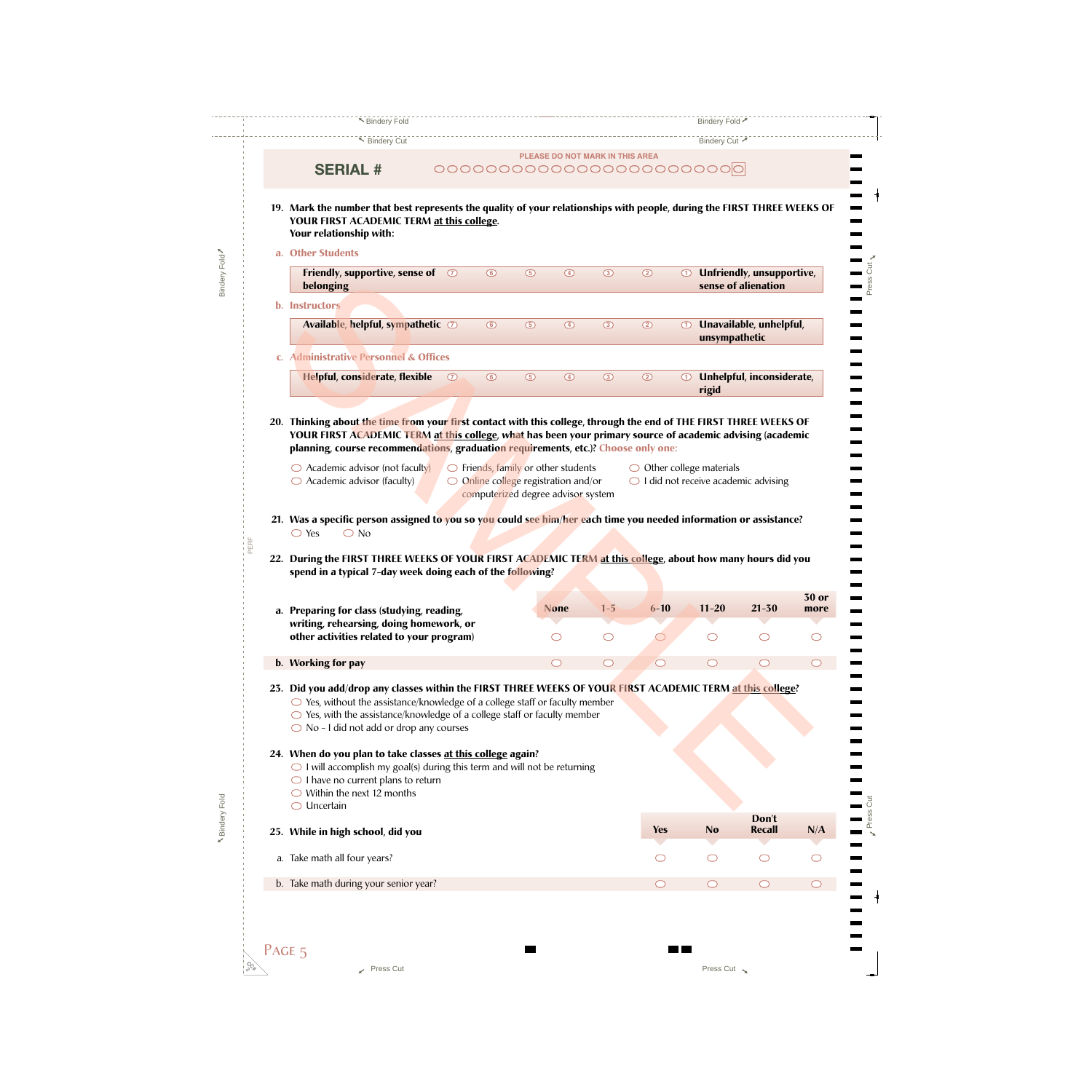| ▶ Bindery Cut                                                                                                                                                                                                                                                                                                          |                |         |                                                                                                                                     |               |                                 |                                    |               | Bindery Cut ୵       |                                                  |                      |
|------------------------------------------------------------------------------------------------------------------------------------------------------------------------------------------------------------------------------------------------------------------------------------------------------------------------|----------------|---------|-------------------------------------------------------------------------------------------------------------------------------------|---------------|---------------------------------|------------------------------------|---------------|---------------------|--------------------------------------------------|----------------------|
| <b>SERIAL #</b>                                                                                                                                                                                                                                                                                                        |                |         |                                                                                                                                     |               | PLEASE DO NOT MARK IN THIS AREA |                                    |               |                     |                                                  |                      |
|                                                                                                                                                                                                                                                                                                                        |                |         |                                                                                                                                     |               |                                 |                                    |               |                     |                                                  |                      |
| 19. Mark the number that best represents the quality of your relationships with people, during the FIRST THREE WEEKS OF<br>YOUR FIRST ACADEMIC TERM at this college.<br>Your relationship with:                                                                                                                        |                |         |                                                                                                                                     |               |                                 |                                    |               |                     |                                                  |                      |
| a. Other Students                                                                                                                                                                                                                                                                                                      |                |         |                                                                                                                                     |               |                                 |                                    |               |                     |                                                  |                      |
| Friendly, supportive, sense of<br>belonging                                                                                                                                                                                                                                                                            | $\circledcirc$ | $\odot$ | $\circledcirc$                                                                                                                      | $\circled{4}$ | $\circled{3}$                   | $\circledcirc$                     | $^\copyright$ |                     | Unfriendly, unsupportive,<br>sense of alienation |                      |
| <b>b.</b> Instructors                                                                                                                                                                                                                                                                                                  |                |         |                                                                                                                                     |               |                                 |                                    |               |                     |                                                  |                      |
| Available, helpful, sympathetic $\oslash$                                                                                                                                                                                                                                                                              |                | $\odot$ | $\circledcirc$                                                                                                                      | $\circled{4}$ | $\circ$                         | $\circledcirc$                     | $^{\circ}$    | unsympathetic       | Unavailable, unhelpful,                          |                      |
| c. Administrative Personnel & Offices                                                                                                                                                                                                                                                                                  |                |         |                                                                                                                                     |               |                                 |                                    |               |                     |                                                  |                      |
| <b>Helpful, considerate, flexible</b>                                                                                                                                                                                                                                                                                  | $\circled{D}$  | $\odot$ | $\circledcirc$                                                                                                                      | $\circled{4}$ | $\circ$                         | $\circledcirc$                     | $^{\circ}$    | rigid               | Unhelpful, inconsiderate,                        |                      |
|                                                                                                                                                                                                                                                                                                                        |                |         |                                                                                                                                     |               |                                 |                                    |               |                     |                                                  |                      |
| 20. Thinking about the time from your first contact with this college, through the end of THE FIRST THREE WEEKS OF<br>YOUR FIRST ACADEMIC TERM at this college, what has been your primary source of academic advising (academic<br>planning, course recommendations, graduation requirements, etc.)? Choose only one: |                |         |                                                                                                                                     |               |                                 |                                    |               |                     |                                                  |                      |
| $\bigcirc$ Academic advisor (not faculty)<br>$\bigcirc$ Academic advisor (faculty)                                                                                                                                                                                                                                     |                |         | $\bigcirc$ Friends, family or other students<br>$\bigcirc$ Online college registration and/or<br>computerized degree advisor system |               |                                 | $\bigcirc$ Other college materials |               |                     | $\bigcirc$ I did not receive academic advising   |                      |
|                                                                                                                                                                                                                                                                                                                        |                |         |                                                                                                                                     |               |                                 |                                    |               |                     |                                                  |                      |
|                                                                                                                                                                                                                                                                                                                        |                |         |                                                                                                                                     |               |                                 |                                    |               |                     |                                                  |                      |
| 21. Was a specific person assigned to you so you could see him/her each time you needed information or assistance?<br>$\bigcirc$ Yes<br>$\bigcirc$ No                                                                                                                                                                  |                |         |                                                                                                                                     |               |                                 |                                    |               |                     |                                                  |                      |
| 22. During the FIRST THREE WEEKS OF YOUR FIRST ACADEMIC TERM at this college, about how many hours did you                                                                                                                                                                                                             |                |         |                                                                                                                                     |               |                                 |                                    |               |                     |                                                  |                      |
| spend in a typical 7-day week doing each of the following?                                                                                                                                                                                                                                                             |                |         |                                                                                                                                     |               |                                 |                                    |               |                     |                                                  |                      |
|                                                                                                                                                                                                                                                                                                                        |                |         |                                                                                                                                     | <b>None</b>   | $1 - 5$                         | $6 - 10$                           |               | $11 - 20$           | $21 - 30$                                        | <b>30 or</b><br>more |
| a. Preparing for class (studying, reading,<br>writing, rehearsing, doing homework, or                                                                                                                                                                                                                                  |                |         |                                                                                                                                     |               |                                 |                                    |               |                     |                                                  |                      |
| other activities related to your program)                                                                                                                                                                                                                                                                              |                |         |                                                                                                                                     | ◯             | $\circlearrowright$             |                                    |               | O                   | $\circlearrowright$                              | O                    |
| b. Working for pay                                                                                                                                                                                                                                                                                                     |                |         |                                                                                                                                     | $\bigcirc$    | $\circlearrowright$             | ◯                                  |               | $\circlearrowright$ | $\bigcirc$                                       | $\bigcirc$           |
| 23. Did you add/drop any classes within the FIRST THREE WEEKS OF YOUR FIRST ACADEMIC TERM at this college?                                                                                                                                                                                                             |                |         |                                                                                                                                     |               |                                 |                                    |               |                     |                                                  |                      |
| $\bigcirc$ Yes, without the assistance/knowledge of a college staff or faculty member<br>$\bigcirc$ Yes, with the assistance/knowledge of a college staff or faculty member<br>$\bigcirc$ No - I did not add or drop any courses                                                                                       |                |         |                                                                                                                                     |               |                                 |                                    |               |                     |                                                  |                      |
| 24. When do you plan to take classes at this college again?<br>$\bigcirc$ I will accomplish my goal(s) during this term and will not be returning<br>$\bigcirc$ I have no current plans to return<br>$\bigcirc$ Within the next 12 months                                                                              |                |         |                                                                                                                                     |               |                                 |                                    |               |                     |                                                  |                      |
| $\bigcirc$ Uncertain                                                                                                                                                                                                                                                                                                   |                |         |                                                                                                                                     |               |                                 |                                    |               |                     |                                                  |                      |
| 25. While in high school, did you                                                                                                                                                                                                                                                                                      |                |         |                                                                                                                                     |               |                                 | <b>Yes</b>                         |               | <b>No</b>           | Don't<br><b>Recall</b>                           | N/A                  |
| a. Take math all four years?                                                                                                                                                                                                                                                                                           |                |         |                                                                                                                                     |               |                                 |                                    |               | O                   | $\circlearrowright$                              |                      |
| b. Take math during your senior year?                                                                                                                                                                                                                                                                                  |                |         |                                                                                                                                     |               |                                 | $\bigcirc$                         |               | $\circlearrowright$ | $\circlearrowright$                              | $\bigcirc$           |
|                                                                                                                                                                                                                                                                                                                        |                |         |                                                                                                                                     |               |                                 |                                    |               |                     |                                                  |                      |

**N**Bindery Fold

**N** Bindery Fold

Bindery Fold

Bindery Fold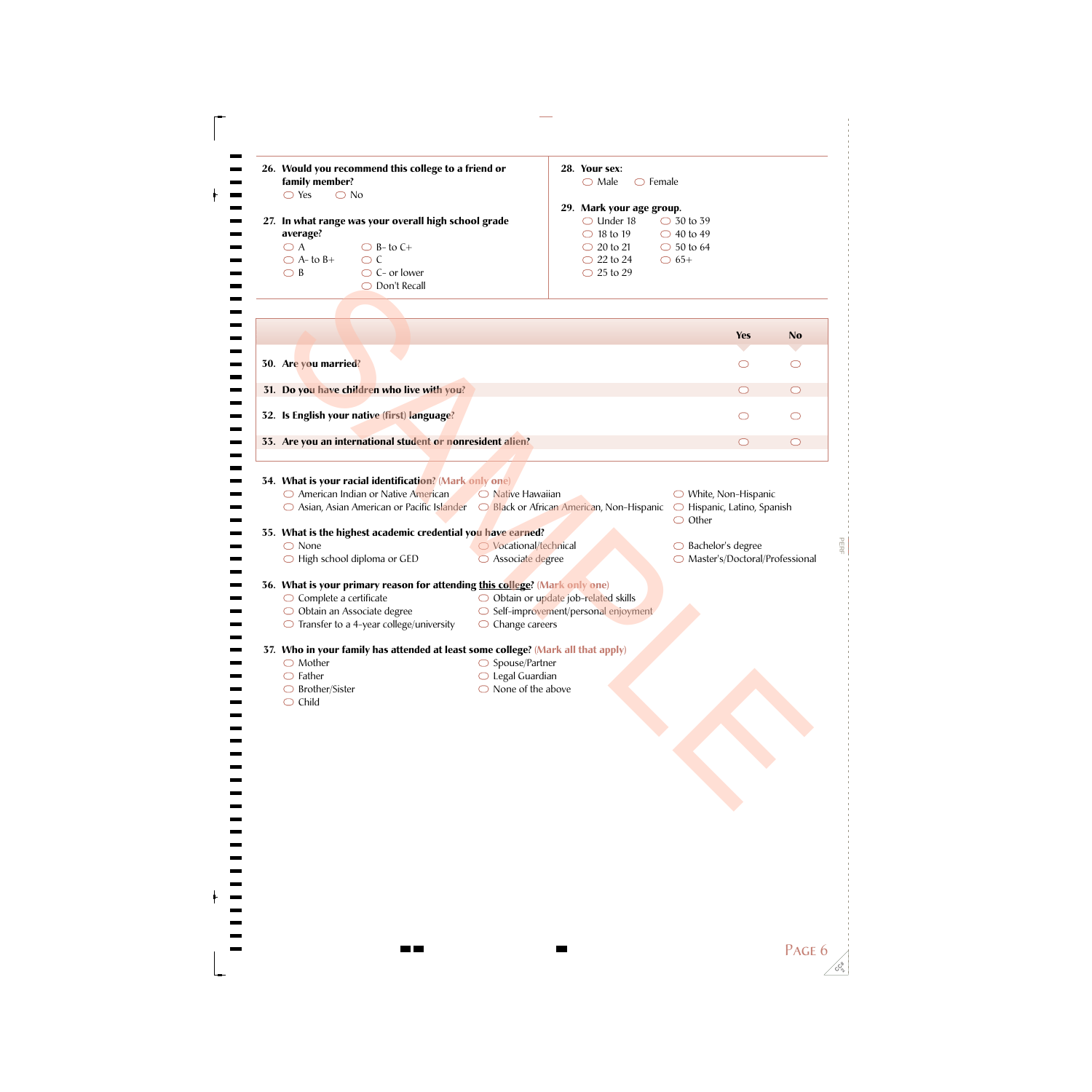| 26. Would you recommend this college to a friend or<br>family member?<br>$\bigcirc$ Yes<br>$\bigcirc$ No                                                                                                                                      |                                                                                                             | 28. Your sex:<br>$\bigcirc$ Male                                                                                                            | $\bigcirc$ Female                                                                   |                                  |                     |
|-----------------------------------------------------------------------------------------------------------------------------------------------------------------------------------------------------------------------------------------------|-------------------------------------------------------------------------------------------------------------|---------------------------------------------------------------------------------------------------------------------------------------------|-------------------------------------------------------------------------------------|----------------------------------|---------------------|
| 27. In what range was your overall high school grade<br>average?<br>$\bigcirc$ A<br>$\bigcirc$ B- to C+<br>$\bigcirc$ A- to B+<br>$\bigcirc$ C<br>$\bigcirc$ B<br>$\bigcirc$ C- or lower<br>◯ Don't Recall                                    |                                                                                                             | 29. Mark your age group.<br>$\bigcirc$ Under 18<br>$\bigcirc$ 18 to 19<br>$\bigcirc$ 20 to 21<br>$\bigcirc$ 22 to 24<br>$\bigcirc$ 25 to 29 | $\bigcirc$ 30 to 39<br>$\bigcirc$ 40 to 49<br>$\bigcirc$ 50 to 64<br>$\bigcirc$ 65+ |                                  |                     |
|                                                                                                                                                                                                                                               |                                                                                                             |                                                                                                                                             |                                                                                     | <b>Yes</b>                       | <b>No</b>           |
|                                                                                                                                                                                                                                               |                                                                                                             |                                                                                                                                             |                                                                                     |                                  |                     |
| 30. Are you married?                                                                                                                                                                                                                          |                                                                                                             |                                                                                                                                             |                                                                                     | $\bigcirc$                       | $\bigcirc$          |
| 31. Do you have children who live with you?                                                                                                                                                                                                   |                                                                                                             |                                                                                                                                             |                                                                                     | ◯                                | $\bigcirc$          |
| 32. Is English your native (first) language?                                                                                                                                                                                                  |                                                                                                             |                                                                                                                                             |                                                                                     | $\circlearrowright$              | $\circlearrowright$ |
| 33. Are you an international student or nonresident alien?                                                                                                                                                                                    |                                                                                                             |                                                                                                                                             |                                                                                     | $\bigcirc$                       | $\bigcirc$          |
|                                                                                                                                                                                                                                               |                                                                                                             |                                                                                                                                             |                                                                                     |                                  |                     |
| ○ Asian, Asian American or Pacific Islander ○ Black or African American, Non-Hispanic ○ Hispanic, Latino, Spanish<br>35. What is the highest academic credential you have earned?<br>$\bigcirc$ None<br>$\bigcirc$ High school diploma or GED | ○ Vocational/technical<br>O Associate degree                                                                |                                                                                                                                             | $\bigcirc$ Other<br>$\bigcirc$ Bachelor's degree                                    | ○ Master's/Doctoral/Professional |                     |
|                                                                                                                                                                                                                                               |                                                                                                             |                                                                                                                                             |                                                                                     |                                  |                     |
| 36. What is your primary reason for attending this college? (Mark only one)<br>$\bigcirc$ Complete a certificate<br>○ Obtain an Associate degree<br>$\bigcirc$ Transfer to a 4-year college/university                                        | ◯ Obtain or update job-related skills<br>○ Self-improvement/personal enjoyment<br>$\bigcirc$ Change careers |                                                                                                                                             |                                                                                     |                                  |                     |
| 37. Who in your family has attended at least some college? (Mark all that apply)<br>$\bigcirc$ Mother<br>$\bigcirc$ Father<br>$\bigcirc$ Brother/Sister<br>$\bigcirc$ Child                                                                   | $\bigcirc$ Spouse/Partner<br>$\bigcirc$ Legal Guardian<br>$\bigcirc$ None of the above                      |                                                                                                                                             |                                                                                     |                                  |                     |
|                                                                                                                                                                                                                                               |                                                                                                             |                                                                                                                                             |                                                                                     |                                  |                     |
|                                                                                                                                                                                                                                               |                                                                                                             |                                                                                                                                             |                                                                                     |                                  |                     |
|                                                                                                                                                                                                                                               |                                                                                                             |                                                                                                                                             |                                                                                     |                                  |                     |
|                                                                                                                                                                                                                                               |                                                                                                             |                                                                                                                                             |                                                                                     |                                  |                     |
|                                                                                                                                                                                                                                               |                                                                                                             |                                                                                                                                             |                                                                                     |                                  |                     |

مبر<br>م <u>ب</u>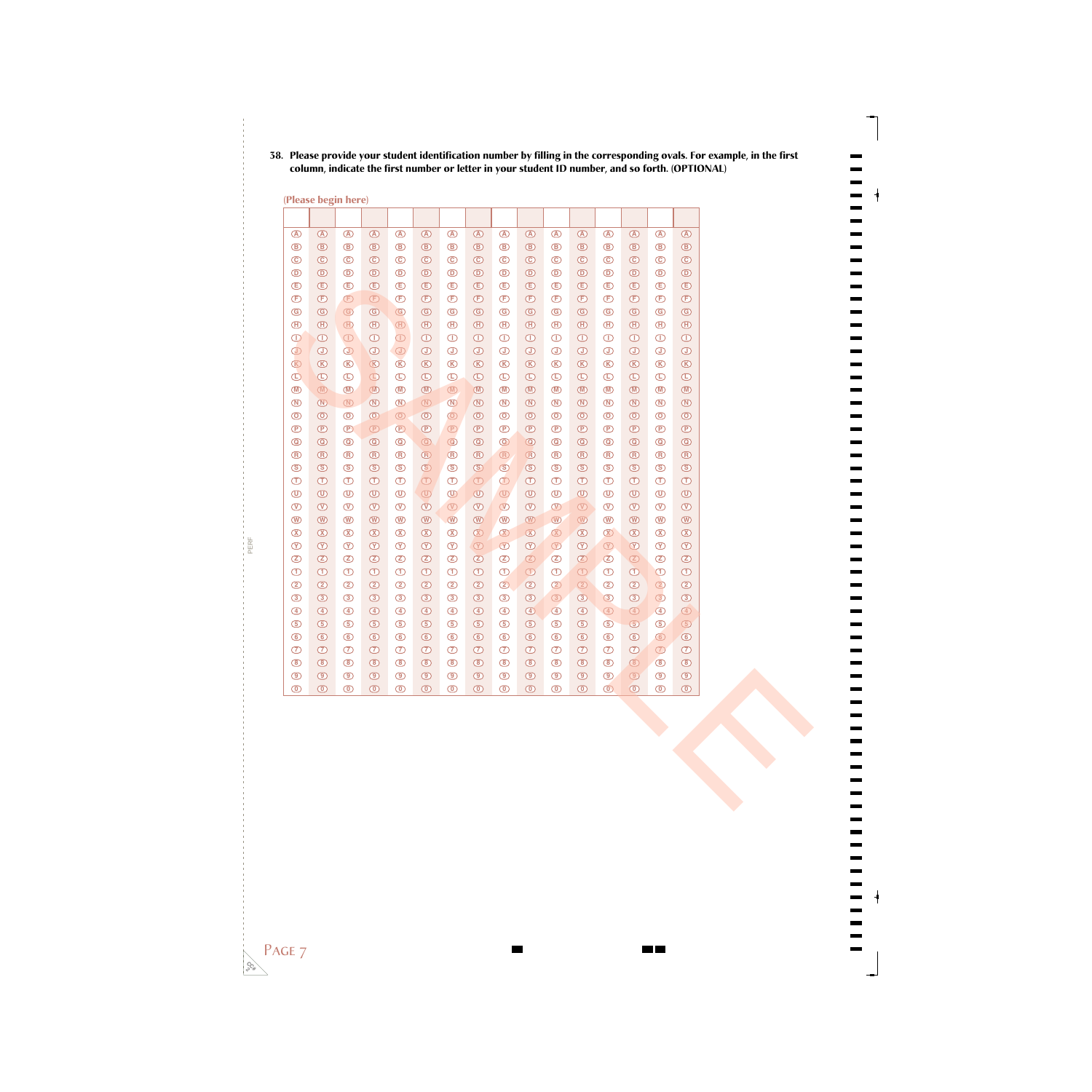# -------<br>------

## **38. Please provide your student identification number by filling in the corresponding ovals. For example, in the first column, indicate the first number or letter in your student ID number, and so forth. (OPTIONAL)**

**(Please begin here)**

| $\circledA$                   | $\circledA$                     | $\circledR$                     | $\circledA$                      | $\circledA$                      | $\circledR$                             | $\circledA$                     | $\circledR$                  | $\bigcirc$                       | $\circledA$                                       | $\circledA$                     | $\circledA$                      | $\circledA$                     | $\circledA$                                                                                                                                                                                                                                                                                                                                         | $\circledA$                     | $\bigcirc$                       |
|-------------------------------|---------------------------------|---------------------------------|----------------------------------|----------------------------------|-----------------------------------------|---------------------------------|------------------------------|----------------------------------|---------------------------------------------------|---------------------------------|----------------------------------|---------------------------------|-----------------------------------------------------------------------------------------------------------------------------------------------------------------------------------------------------------------------------------------------------------------------------------------------------------------------------------------------------|---------------------------------|----------------------------------|
| $^{\circledR}$                | $^{\circ}$                      | $\circledR$                     | $\circledcirc$                   | $\circledR$                      | $^{\circledR}$                          | $\circledcirc$                  | $^{\circledR}$               | $\circledR$                      | $\circledB$                                       | $\circledR$                     | $\circledcirc$                   | $\circledR$                     | $^{\circledR}$                                                                                                                                                                                                                                                                                                                                      | $\circledR$                     | $\circledR$                      |
| $\odot$                       | $\odot$                         | $\odot$                         | $\odot$                          | $\odot$                          | $\odot$                                 | $\odot$                         | $\odot$                      | $\odot$                          | $\odot$                                           | $\odot$                         | $\odot$                          | $\odot$                         | $\odot$                                                                                                                                                                                                                                                                                                                                             | $\odot$                         | $\odot$                          |
| $\circledcirc$                | $^{\circ}$                      | $\bigcirc$                      | $\circledcirc$                   | $\bigcirc$                       | $^{\circ}$                              | $^{\circ}$                      | $^{\circ}$                   | $\bigcirc$                       | $\circledcirc$                                    | $\bigcirc$                      | $^{\circ}$                       | $\bigcirc$                      | $\bigcirc$                                                                                                                                                                                                                                                                                                                                          | $\circledcirc$                  | $^{\circ}$                       |
| $\bigoplus$                   | $\bigcirc$                      | $\bigoplus$                     | $\bigoplus$                      | $\bigoplus$                      | $^{\circ}$                              | $\bigoplus$                     | $\bigoplus$                  | $\bigoplus$                      | $^{\circledR}$                                    | $\bigoplus$                     | $\bigoplus$                      | $\bigoplus$                     | $\bigoplus$                                                                                                                                                                                                                                                                                                                                         | $\bigoplus$                     | $\bigoplus$                      |
| $\bigoplus$                   | $\bigoplus$                     | $\bigoplus$                     | $\bigoplus$                      | $\bigoplus$                      | $^{\circ}$                              | $^{\circ}$                      | $\bigoplus$                  | $\bigoplus$                      | $\bigoplus$                                       | $\bigoplus$                     | $\bigoplus$                      | $\bigoplus$                     | $\mathbf \oplus$                                                                                                                                                                                                                                                                                                                                    | $\bigoplus$                     | $\bigoplus$                      |
| $\circledcirc$                | $\circledcirc$                  | $\circledcirc$                  | $\circledcirc$                   | $\circledcirc$                   | $\circledcirc$                          | $\circledcirc$                  | $\circledcirc$               | $\circledcirc$                   | $\circledS$                                       | $\circledcirc$                  | $\circledcirc$                   | $\circledcirc$                  | $\circledS$                                                                                                                                                                                                                                                                                                                                         | $\circledcirc$                  | $\circledcirc$                   |
| $\bigoplus$                   | $\bigoplus$                     | $\bigoplus$                     | $\bigoplus$                      | $\textcircled{\scriptsize{H}}$   | $\bigoplus$                             | $\bigoplus$                     | $\bigoplus$                  | $\bigoplus$                      | $\textcircled{\scriptsize{H}}$                    | $\bigoplus$                     | $\bigoplus$                      | $\bigoplus$                     | $\bigoplus$                                                                                                                                                                                                                                                                                                                                         | $\bigoplus$                     | $\bigoplus$                      |
| $\bigcirc$                    | $\bigcirc$                      | $\bigcirc$                      | $\bigcirc$                       | $\bigcirc$                       | $\bigcirc$                              | $\bigcirc$                      | $\bigcirc$                   | $\bigcirc$                       | $\bigcirc$                                        | $\bigcirc$                      | $\bigcirc$                       | $\bigcirc$                      | $\bigcirc$                                                                                                                                                                                                                                                                                                                                          | $\bigcirc$                      | $\bigcirc$                       |
| $\bigcirc$                    | $\bigcirc$                      | $\bigcirc$                      | $\bigcirc$                       | $\bigcirc$                       | $\bigcirc$                              | $\bigcirc$                      | $\bigcirc$                   | $\bigcirc$                       | $\bigcirc$                                        | $\bigcirc$                      | $\bigcirc$                       | $\bigcirc$                      | $\bigcirc$                                                                                                                                                                                                                                                                                                                                          | $\bigcirc$                      | $\bigcirc$                       |
| $\circledR$                   | $\circledR$                     | $\circledR$                     | $\circledR$                      | $\circledR$                      | $\circledR$                             | $\circledR$                     | $\circledR$                  | $\circledR$                      | $\circledR$                                       | $\circledR$                     | $\circledR$                      | $\circledR$                     | $\circledR$                                                                                                                                                                                                                                                                                                                                         | $\circledR$                     | $\circledR$                      |
| $\bigcirc$                    | $\bigcirc$                      | $\bigcirc$                      | $\bigcirc$                       | $\bigcirc$                       | $\bigcirc$                              | $\bigoplus$                     | $\bigcirc$                   | $\bigcirc$                       | $\bigcirc$                                        | $\bigcirc$                      | $\bigcirc$                       | $\bigcirc$                      | $\mathbb O$                                                                                                                                                                                                                                                                                                                                         | $\bigcirc$                      | $\bigcirc$                       |
| $\circledR$                   | $\circledR$                     | $\circledR$                     | $\circledR$                      | $\circledR$                      | $\circledR$                             | $\circledR$                     | $\circledR$                  | $\circledR$                      | $\circledR$                                       | $\circledR$                     | $\circledR$                      | $\circledR$                     | $\circledR$                                                                                                                                                                                                                                                                                                                                         | $\circledR$                     | $\circledR$                      |
| $\circledR$<br>$\circledcirc$ | $\circledR$<br>$\circledcirc$   | $\circledR$<br>$\circledcirc$   | $\circledR$<br>$\circledcirc$    | $\circledR$<br>$\odot$           | $\circledR$<br>$\circledcirc$           | $\circledR$                     | $\circledR$                  | $\circledR$<br>$\circledcirc$    | $\qquad \qquad \textcircled{1}$<br>$\circledcirc$ | $\circledR$<br>$\odot$          | $\circledR$<br>$\circledcirc$    | $\circledR$<br>$\circledcirc$   | $\qquad \qquad \textcircled{1}$<br>$\circledcirc$                                                                                                                                                                                                                                                                                                   | $\circledR$<br>$\circledcirc$   | $\circledR$<br>$\circledcirc$    |
| $\circled{P}$                 | $^{\circ}$                      | $\circled{P}$                   | $\circled{P}$                    | $^{\circ}$                       | $^{\circ}$                              | $\circledcirc$<br>$^{\circ}$    | $^{\circ}$<br>$^{\circ}$     | $^{\circ}$                       | $^{\circ}$                                        | $\bigcirc$                      | $^{\circ}$                       | $^{\circ}$                      | $^\circledR$                                                                                                                                                                                                                                                                                                                                        | $^{\circ}$                      | $^{\circ}$                       |
| $\circledcirc$                | $\textcircled{\scriptsize{0}}$  | $\circledcirc$                  | $\circledcirc$                   | $^\copyright$                    | $^{\copyright}$                         | $\circledcirc$                  | $^{\copyright}$              | $\circledcirc$                   | $\circledcirc$                                    | $\circledcirc$                  | $\circledcirc$                   | $\circledcirc$                  | $\circledcirc$                                                                                                                                                                                                                                                                                                                                      | $\circledcirc$                  | $^{\circ}$                       |
| $\circledR$                   | $^{\circledR}$                  | $\circledR$                     | $\circledR$                      | $\circledR$                      | $\textcircled{\scriptsize{\textsf{R}}}$ | $\circledR$                     | $^\circledR$                 | $\circledR$                      | $\circledR$                                       | $\bigcirc$                      | $\circledR$                      | $\circledR$                     | $\circledR$                                                                                                                                                                                                                                                                                                                                         | $\circledR$                     | $^{\circledR}$                   |
| $\circledS$                   | $\circledS$                     | $\circledS$                     | $\circledS$                      | $\circledS$                      | $\circledS$                             | $\circledS$                     | $\circledS$                  | $\circledS$                      | $\circledS$                                       | $\circledS$                     | $\circledS$                      | $\circledS$                     | $\circledS$                                                                                                                                                                                                                                                                                                                                         | $\circledS$                     | $\circledS$                      |
| $\bigcirc$                    | $\bigcirc$                      | $\bigcirc$                      | $\bigcirc$                       | $\bigcirc$                       | $\bigcirc$                              | $\bigcirc$                      | $\bigcirc$                   | $\bigcirc$                       | $\bigcirc$                                        | $\bigcirc$                      | $\bigcirc$                       | $\bigcirc$                      | $\bigcirc$                                                                                                                                                                                                                                                                                                                                          | $\bigcirc$                      | $\bigcirc$                       |
| $^{\circ}$                    | $\qquad \qquad \textcircled{1}$ | $\circledcirc$                  | $\circledcirc$                   | $\circledcirc$                   | $\qquad \qquad \textcircled{1}$         | $^{\circ}$                      | $\circledcirc$               | $\qquad \qquad \textcircled{1}$  | $\qquad \qquad \textcircled{1}$                   | $\circledcirc$                  | $\circledcirc$                   | $^{\circ}$                      | $\textcircled{\scriptsize{1}}$                                                                                                                                                                                                                                                                                                                      | $\circledcirc$                  | $\circledcirc$                   |
| $^{\circledR}$                | $\circledR$                     | $\circledv$                     | $\circledR$                      | $^{\circledR}$                   | $\overline{\mathbb{O}}$                 | $\circledv$                     | $\circledR$                  | $\circledcirc$                   | $^{\circledR}$                                    | $^{\circledR}$                  | $\textcircled{r}$                | $^{\circledR}$                  | $\circledcirc$                                                                                                                                                                                                                                                                                                                                      | $\circledcirc$                  | $\circledcirc$                   |
| $^{\circledR}$                | $^{\circledR}$                  | $^{\circledR}$                  | $\circledR$                      | $^{\circledR}$                   | $^{\circledR}$                          | $\circledR$                     | $\circledR$                  | $\circledR$                      | $^{\circledR}$                                    | $^{\circledR}$                  | $\circledR$                      | $^{\circledR}$                  | $\circledR$                                                                                                                                                                                                                                                                                                                                         | $^{\circledR}$                  | $^{\circledR}$                   |
| $\infty$                      | $\infty$                        | $\circledX$                     | $\circledR$                      | $\circledX$                      | $\infty$                                | $\infty$                        | $\circledR$                  | $\infty$                         | $\circledX$                                       | $\infty$                        | $\circledR$                      | $\circledX$                     | $\circledR$                                                                                                                                                                                                                                                                                                                                         | $\infty$                        | $\infty$                         |
| $\circledcirc$                | $\circledcirc$                  | $\circledcirc$                  | $\circledcirc$                   | $\circledcirc$                   | $\circledcirc$                          | $\infty$                        | $\circledcirc$               | $\circledcirc$                   | $\circledcirc$                                    | $\circledcirc$                  | $\circledR$                      | $\circledR$                     | $\circledcirc$                                                                                                                                                                                                                                                                                                                                      | $\infty$                        | $\circledcirc$                   |
| $\circledZ$                   | $\circled{2}$                   | $\circledZ$                     | $\circledcirc$                   | $\circledZ$                      | $\circledcirc$                          | $\circledZ$                     | $\circledcirc$               | $\circledZ$                      | Ø                                                 | $\circledcirc$                  | $\circledcirc$                   | $\circledZ$                     | $\begin{picture}(20,20) \put(0,0){\line(1,0){10}} \put(15,0){\line(1,0){10}} \put(15,0){\line(1,0){10}} \put(15,0){\line(1,0){10}} \put(15,0){\line(1,0){10}} \put(15,0){\line(1,0){10}} \put(15,0){\line(1,0){10}} \put(15,0){\line(1,0){10}} \put(15,0){\line(1,0){10}} \put(15,0){\line(1,0){10}} \put(15,0){\line(1,0){10}} \put(15,0){\line(1$ | $\circledZ$                     | $\circled{2}$                    |
| $\bigcirc$                    | $\bigcirc$                      | $\bigcirc$                      | $\bigcirc$                       | $\bigcirc$                       | $\bigcirc$                              | $\bigcirc$                      | $\bigcirc$                   | $\bigcirc$                       | $\bigcirc$                                        | $\bigcirc$                      | $\bigcirc$                       | $\bigcirc$                      | $\bigcirc$                                                                                                                                                                                                                                                                                                                                          | $\bigcirc$                      | $\bigcirc$                       |
| $\circled{2}$                 | $\circledcirc$                  | $\circled{2}$                   | $\circledcirc$                   | $\circled{2}$                    | $^{\circledR}$                          | $^{\circledR}$                  | $^{\circledR}$               | $\circled{2}$                    | $\circledcirc$                                    | $\circledcirc$                  | $\circled{2}$                    | $\circledcirc$                  | $\circledcirc$                                                                                                                                                                                                                                                                                                                                      | $\circledcirc$                  | $\circledcirc$                   |
| $\circled{3}$                 | $\circled{3}$                   | $\circled{3}$                   | $\circled{3}$                    | $\circled{3}$                    | $\circled{3}$                           | $\circled{3}$                   | $\circledcirc$               | $\circled{3}$                    | $\circled{3}$                                     | $\circled{3}$                   | $\circled{3}$                    | $\circled{3}$                   | $\circled{3}$                                                                                                                                                                                                                                                                                                                                       | $\circled{3}$                   | $\circled{3}$                    |
| $\circled{4}$                 | $\bigcirc$                      | $\bigcirc$                      | $\bigcirc$                       | $\bigcirc$                       | $\bigcirc$                              | $^{\circledR}$                  | $\bigcirc$                   | $\bigcirc$                       | $\circledast$                                     | $\circledcirc$                  | $\bigcirc$                       | $\circled{4}$                   | $\circled{4}$                                                                                                                                                                                                                                                                                                                                       | $\bigcirc$                      | $\circled{4}$                    |
| $\circled{5}$                 | $\circled{5}$                   | $\circledcirc$                  | $\circledcirc$                   | $\circled{5}$                    | $\circledcirc$                          | $\circledcirc$                  | $\circledcirc$               | $\circledcirc$                   | $\circled{5}$                                     | $\circledcirc$                  | $\circledcirc$                   | $\circled{5}$                   | $\circledcirc$                                                                                                                                                                                                                                                                                                                                      | $\circled{5}$                   | $\circled{5}$                    |
| $\circledcirc$                | $\circledcirc$                  | $\circledcirc$                  | $\circledcirc$                   | $\circledcirc$                   | $\circledcirc$                          | $\circledcirc$                  | $\circledcirc$               | $\circledcirc$                   | $\circledcirc$                                    | $\circledcirc$                  | $\circledcirc$                   | $\circledcirc$                  | $\circledcirc$                                                                                                                                                                                                                                                                                                                                      | $\circledcirc$                  | $\circledcirc$                   |
| $\circled{7}$                 | $\circled{2}$<br>$\circledcirc$ | $\circled{7}$<br>$\circledcirc$ | $\circledcirc$<br>$\circledcirc$ | $\circledcirc$<br>$\circledcirc$ | $\circled{2}$<br>$^{\circ}$             | $\circled{7}$<br>$\circledcirc$ | $\circledcirc$<br>$^{\circ}$ | $\circledcirc$<br>$\circledcirc$ | $\circled{2}$<br>$\circledcirc$                   | $\circled{7}$<br>$\circledcirc$ | $\circledcirc$<br>$\circledcirc$ | $\circled{7}$<br>$\circledcirc$ | $\circled{D}$<br>$\circledcirc$                                                                                                                                                                                                                                                                                                                     | $\circled{7}$<br>$\circledcirc$ | $\circledcirc$<br>$\circledcirc$ |
| $\circledcirc$                | $\circledcirc$                  | $\circledcirc$                  | $\circledcirc$                   | $\circledcirc$                   | $\circledcirc$                          | $\circledcirc$                  | $\circledcirc$               | $\circledcirc$                   | $\circledcirc$                                    | $\circledcirc$                  | $\circledcirc$                   | $\circledcirc$                  | $\circledcirc$                                                                                                                                                                                                                                                                                                                                      | $\circledcirc$                  | $\circledcirc$                   |
| $^{\circledR}$                | $\circledcirc$                  | $\circledcirc$                  | $\circledcirc$                   | $\circledcirc$                   | $\circledcirc$                          | $^{\circ}$                      | $\circledcirc$               | $\circledcirc$                   | $\circledcirc$                                    | $\circledcirc$                  | $\circledcirc$                   | $\circledcirc$                  | $\circledcirc$                                                                                                                                                                                                                                                                                                                                      | $\circledcirc$                  | $\circledcirc$                   |

PAGE<sub>7</sub>

**CC# 2**

PERF